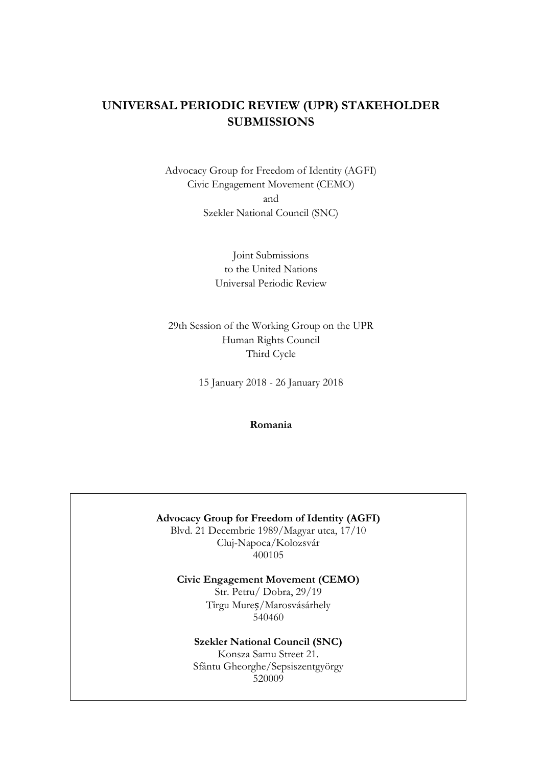# **UNIVERSAL PERIODIC REVIEW (UPR) STAKEHOLDER SUBMISSIONS**

Advocacy Group for Freedom of Identity (AGFI) Civic Engagement Movement (CEMO) and Szekler National Council (SNC)

> Joint Submissions to the United Nations Universal Periodic Review

29th Session of the Working Group on the UPR Human Rights Council Third Cycle

15 January 2018 - 26 January 2018

**Romania**

**Advocacy Group for Freedom of Identity (AGFI)**

Blvd. 21 Decembrie 1989/Magyar utca, 17/10 Cluj-Napoca/Kolozsvár 400105

**Civic Engagement Movement (CEMO)**

Str. Petru/ Dobra, 29/19 Tîrgu Mureș/Marosvásárhely 540460

**Szekler National Council (SNC)**

Konsza Samu Street 21. Sfântu Gheorghe/Sepsiszentgyörgy 520009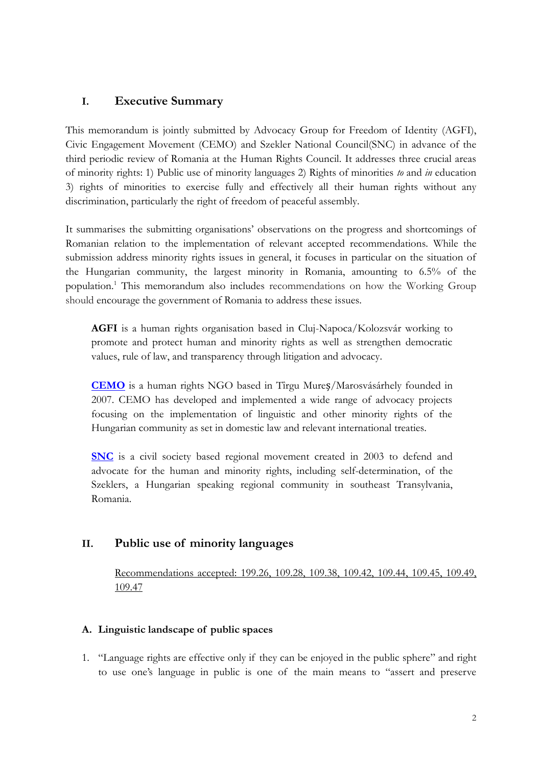### **I. Executive Summary**

This memorandum is jointly submitted by Advocacy Group for Freedom of Identity (AGFI), Civic Engagement Movement (CEMO) and Szekler National Council(SNC) in advance of the third periodic review of Romania at the Human Rights Council. It addresses three crucial areas of minority rights: 1) Public use of minority languages 2) Rights of minorities *to* and *in* education 3) rights of minorities to exercise fully and effectively all their human rights without any discrimination, particularly the right of freedom of peaceful assembly.

It summarises the submitting organisations' observations on the progress and shortcomings of Romanian relation to the implementation of relevant accepted recommendations. While the submission address minority rights issues in general, it focuses in particular on the situation of the Hungarian community, the largest minority in Romania, amounting to 6.5% of the population.<sup>1</sup> This memorandum also includes recommendations on how the Working Group should encourage the government of Romania to address these issues.

**AGFI** is a human rights organisation based in Cluj-Napoca/Kolozsvár working to promote and protect human and minority rights as well as strengthen democratic values, rule of law, and transparency through litigation and advocacy.

**[CEMO](http://www.cemo.ro/)** is a human rights NGO based in Tîrgu Mureș/Marosvásárhely founded in 2007. CEMO has developed and implemented a wide range of advocacy projects focusing on the implementation of linguistic and other minority rights of the Hungarian community as set in domestic law and relevant international treaties.

**[SNC](http://sznt.sic.hu/)** is a civil society based regional movement created in 2003 to defend and advocate for the human and minority rights, including self-determination, of the Szeklers, a Hungarian speaking regional community in southeast Transylvania, Romania.

### **II. Public use of minority languages**

Recommendations accepted: 199.26, 109.28, 109.38, 109.42, 109.44, 109.45, 109.49, 109.47

#### **A. Linguistic landscape of public spaces**

1. "Language rights are effective only if they can be enjoyed in the public sphere" and right to use one's language in public is one of the main means to "assert and preserve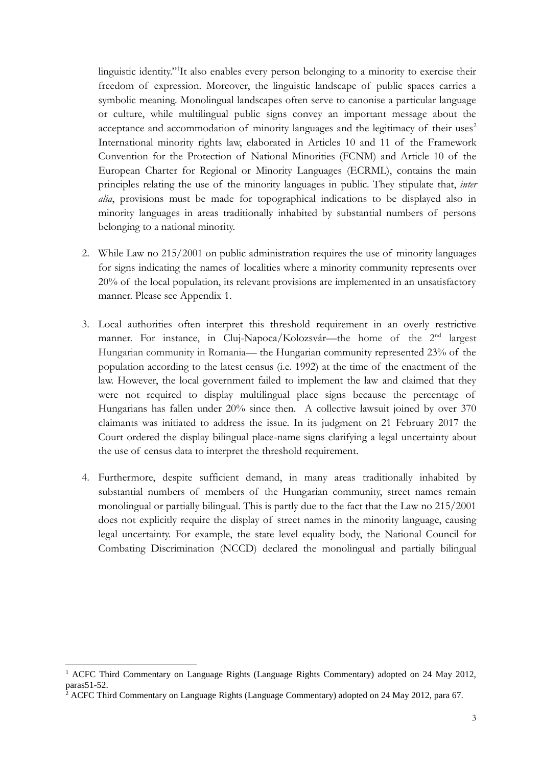linguistic identity."<sup>1</sup> It also enables every person belonging to a minority to exercise their freedom of expression. Moreover, the linguistic landscape of public spaces carries a symbolic meaning. Monolingual landscapes often serve to canonise a particular language or culture, while multilingual public signs convey an important message about the acceptance and accommodation of minority languages and the legitimacy of their uses<sup>2</sup> International minority rights law, elaborated in Articles 10 and 11 of the Framework Convention for the Protection of National Minorities (FCNM) and Article 10 of the European Charter for Regional or Minority Languages (ECRML), contains the main principles relating the use of the minority languages in public. They stipulate that, *inter alia*, provisions must be made for topographical indications to be displayed also in minority languages in areas traditionally inhabited by substantial numbers of persons belonging to a national minority.

- 2. While Law no 215/2001 on public administration requires the use of minority languages for signs indicating the names of localities where a minority community represents over 20% of the local population, its relevant provisions are implemented in an unsatisfactory manner. Please see Appendix 1.
- 3. Local authorities often interpret this threshold requirement in an overly restrictive manner. For instance, in Cluj-Napoca/Kolozsvár—the home of the 2<sup>nd</sup> largest Hungarian community in Romania— the Hungarian community represented 23% of the population according to the latest census (i.e. 1992) at the time of the enactment of the law. However, the local government failed to implement the law and claimed that they were not required to display multilingual place signs because the percentage of Hungarians has fallen under 20% since then. A collective lawsuit joined by over 370 claimants was initiated to address the issue. In its judgment on 21 February 2017 the Court ordered the display bilingual place-name signs clarifying a legal uncertainty about the use of census data to interpret the threshold requirement.
- 4. Furthermore, despite sufficient demand, in many areas traditionally inhabited by substantial numbers of members of the Hungarian community, street names remain monolingual or partially bilingual. This is partly due to the fact that the Law no 215/2001 does not explicitly require the display of street names in the minority language, causing legal uncertainty. For example, the state level equality body, the National Council for Combating Discrimination (NCCD) declared the monolingual and partially bilingual

<sup>&</sup>lt;sup>1</sup> ACFC Third Commentary on Language Rights (Language Rights Commentary) adopted on 24 May 2012, paras51-52.

 $2^{2}$  ACFC Third Commentary on Language Rights (Language Commentary) adopted on 24 May 2012, para 67.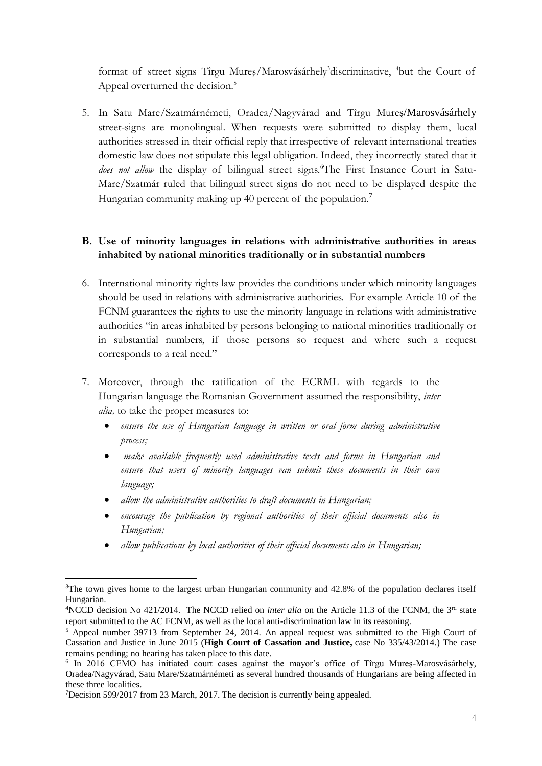format of street signs Tirgu Mureş/Marosvásárhely<sup>3</sup>discriminative, <sup>4</sup>but the Court of Appeal overturned the decision.<sup>5</sup>

5. In Satu Mare/Szatmárnémeti, Oradea/Nagyvárad and Tîrgu Mureș/Marosvásárhely street-signs are monolingual. When requests were submitted to display them, local authorities stressed in their official reply that irrespective of relevant international treaties domestic law does not stipulate this legal obligation. Indeed, they incorrectly stated that it does not allow the display of bilingual street signs.<sup>6</sup>The First Instance Court in Satu-Mare/Szatmár ruled that bilingual street signs do not need to be displayed despite the Hungarian community making up 40 percent of the population.<sup>7</sup>

## **B. Use of minority languages in relations with administrative authorities in areas inhabited by national minorities traditionally or in substantial numbers**

- 6. International minority rights law provides the conditions under which minority languages should be used in relations with administrative authorities. For example Article 10 of the FCNM guarantees the rights to use the minority language in relations with administrative authorities "in areas inhabited by persons belonging to national minorities traditionally or in substantial numbers, if those persons so request and where such a request corresponds to a real need."
- 7. Moreover, through the ratification of the ECRML with regards to the Hungarian language the Romanian Government assumed the responsibility, *inter alia,* to take the proper measures to:
	- *ensure the use of Hungarian language in written or oral form during administrative process;*
	- *make available frequently used administrative texts and forms in Hungarian and ensure that users of minority languages van submit these documents in their own language;*
	- *allow the administrative authorities to draft documents in Hungarian;*
	- *encourage the publication by regional authorities of their official documents also in Hungarian;*
	- *allow publications by local authorities of their official documents also in Hungarian;*

<sup>&</sup>lt;sup>3</sup>The town gives home to the largest urban Hungarian community and 42.8% of the population declares itself Hungarian.

<sup>4</sup>NCCD decision No 421/2014. The NCCD relied on *inter alia* on the Article 11.3 of the FCNM, the 3rd state report submitted to the AC FCNM, as well as the local anti-discrimination law in its reasoning.

<sup>&</sup>lt;sup>5</sup> Appeal number 39713 from September 24, 2014. An appeal request was submitted to the High Court of Cassation and Justice in June 2015 (**High Court of Cassation and Justice,** case No 335/43/2014.) The case remains pending; no hearing has taken place to this date.

<sup>&</sup>lt;sup>6</sup> In 2016 CEMO has initiated court cases against the mayor's office of Tîrgu Mureș-Marosvásárhely, Oradea/Nagyvárad, Satu Mare/Szatmárnémeti as several hundred thousands of Hungarians are being affected in these three localities.

<sup>7</sup>Decision 599/2017 from 23 March, 2017. The decision is currently being appealed.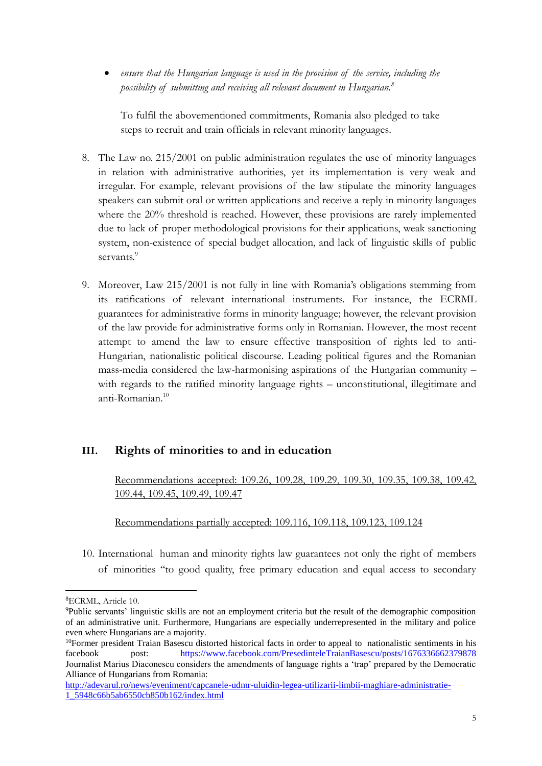*ensure that the Hungarian language is used in the provision of the service, including the possibility of submitting and receiving all relevant document in Hungarian.<sup>8</sup>*

To fulfil the abovementioned commitments, Romania also pledged to take steps to recruit and train officials in relevant minority languages.

- 8. The Law no. 215/2001 on public administration regulates the use of minority languages in relation with administrative authorities, yet its implementation is very weak and irregular. For example, relevant provisions of the law stipulate the minority languages speakers can submit oral or written applications and receive a reply in minority languages where the 20% threshold is reached. However, these provisions are rarely implemented due to lack of proper methodological provisions for their applications, weak sanctioning system, non-existence of special budget allocation, and lack of linguistic skills of public servants<sup>9</sup>
- 9. Moreover, Law 215/2001 is not fully in line with Romania's obligations stemming from its ratifications of relevant international instruments. For instance, the ECRML guarantees for administrative forms in minority language; however, the relevant provision of the law provide for administrative forms only in Romanian. However, the most recent attempt to amend the law to ensure effective transposition of rights led to anti-Hungarian, nationalistic political discourse. Leading political figures and the Romanian mass-media considered the law-harmonising aspirations of the Hungarian community – with regards to the ratified minority language rights – unconstitutional, illegitimate and anti-Romanian.<sup>10</sup>

# **III. Rights of minorities to and in education**

Recommendations accepted: 109.26, 109.28, 109.29, 109.30, 109.35, 109.38, 109.42, 109.44, 109.45, 109.49, 109.47

Recommendations partially accepted: 109.116, 109.118, 109.123, 109.124

10. International human and minority rights law guarantees not only the right of members of minorities "to good quality, free primary education and equal access to secondary

<sup>8</sup>ECRML, Article 10.

<sup>9</sup>Public servants' linguistic skills are not an employment criteria but the result of the demographic composition of an administrative unit. Furthermore, Hungarians are especially underrepresented in the military and police even where Hungarians are a majority.

 $10$ Former president Traian Basescu distorted historical facts in order to appeal to nationalistic sentiments in his facebook post: <https://www.facebook.com/PresedinteleTraianBasescu/posts/1676336662379878> Journalist Marius Diaconescu considers the amendments of language rights a 'trap' prepared by the Democratic Alliance of Hungarians from Romania:

[http://adevarul.ro/news/eveniment/capcanele-udmr-uluidin-legea-utilizarii-limbii-maghiare-administratie-](http://adevarul.ro/news/eveniment/capcanele-udmr-uluidin-legea-utilizarii-limbii-maghiare-administratie-1_5948c66b5ab6550cb850b162/index.html)[1\\_5948c66b5ab6550cb850b162/index.html](http://adevarul.ro/news/eveniment/capcanele-udmr-uluidin-legea-utilizarii-limbii-maghiare-administratie-1_5948c66b5ab6550cb850b162/index.html)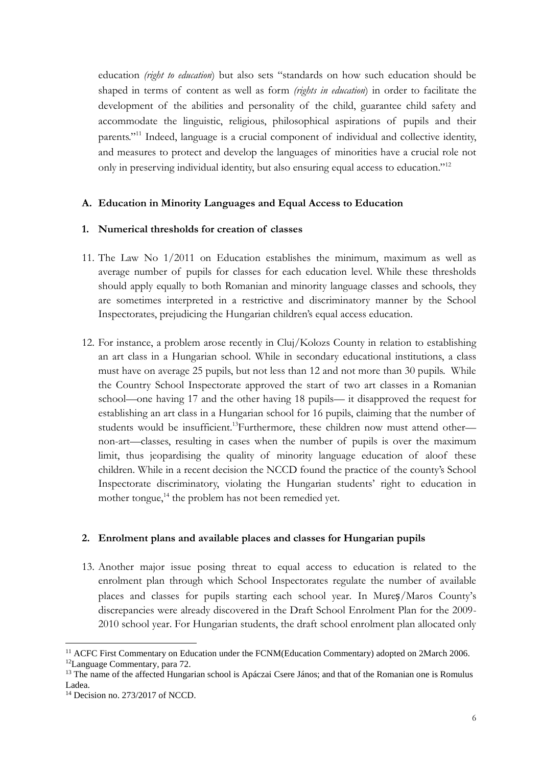education *(right to education*) but also sets "standards on how such education should be shaped in terms of content as well as form *(rights in education*) in order to facilitate the development of the abilities and personality of the child, guarantee child safety and accommodate the linguistic, religious, philosophical aspirations of pupils and their parents."<sup>11</sup> Indeed, language is a crucial component of individual and collective identity, and measures to protect and develop the languages of minorities have a crucial role not only in preserving individual identity, but also ensuring equal access to education."<sup>12</sup>

#### **A. Education in Minority Languages and Equal Access to Education**

#### **1. Numerical thresholds for creation of classes**

- 11. The Law No 1/2011 on Education establishes the minimum, maximum as well as average number of pupils for classes for each education level. While these thresholds should apply equally to both Romanian and minority language classes and schools, they are sometimes interpreted in a restrictive and discriminatory manner by the School Inspectorates, prejudicing the Hungarian children's equal access education.
- 12. For instance, a problem arose recently in Cluj/Kolozs County in relation to establishing an art class in a Hungarian school. While in secondary educational institutions, a class must have on average 25 pupils, but not less than 12 and not more than 30 pupils. While the Country School Inspectorate approved the start of two art classes in a Romanian school—one having 17 and the other having 18 pupils— it disapproved the request for establishing an art class in a Hungarian school for 16 pupils, claiming that the number of students would be insufficient.<sup>13</sup>Furthermore, these children now must attend other non-art—classes, resulting in cases when the number of pupils is over the maximum limit, thus jeopardising the quality of minority language education of aloof these children. While in a recent decision the NCCD found the practice of the county's School Inspectorate discriminatory, violating the Hungarian students' right to education in mother tongue,<sup>14</sup> the problem has not been remedied yet.

#### **2. Enrolment plans and available places and classes for Hungarian pupils**

13. Another major issue posing threat to equal access to education is related to the enrolment plan through which School Inspectorates regulate the number of available places and classes for pupils starting each school year. In Mureș/Maros County's discrepancies were already discovered in the Draft School Enrolment Plan for the 2009- 2010 school year. For Hungarian students, the draft school enrolment plan allocated only

<sup>&</sup>lt;sup>11</sup> ACFC First Commentary on Education under the FCNM(Education Commentary) adopted on 2March 2006. <sup>12</sup>Language Commentary, para 72.

<sup>&</sup>lt;sup>13</sup> The name of the affected Hungarian school is Apáczai Csere János; and that of the Romanian one is Romulus Ladea.

<sup>14</sup> Decision no. 273/2017 of NCCD.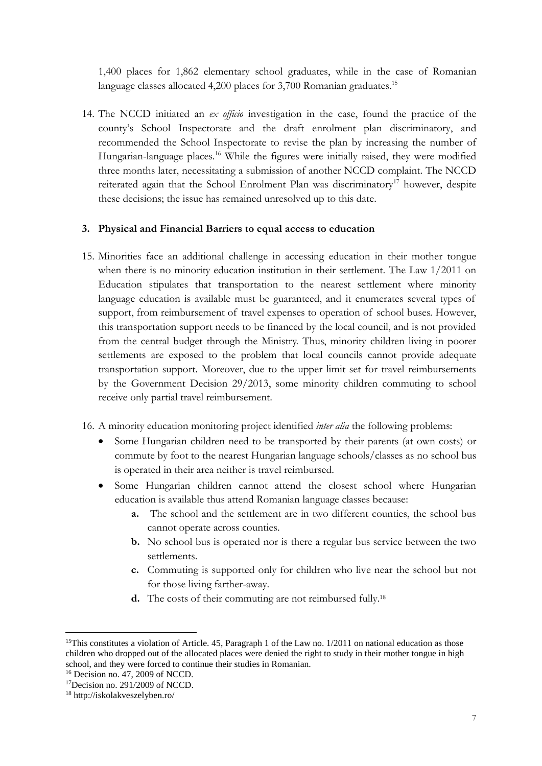1,400 places for 1,862 elementary school graduates, while in the case of Romanian language classes allocated 4,200 places for 3,700 Romanian graduates.<sup>15</sup>

14. The NCCD initiated an *ex officio* investigation in the case, found the practice of the county's School Inspectorate and the draft enrolment plan discriminatory, and recommended the School Inspectorate to revise the plan by increasing the number of Hungarian-language places.<sup>16</sup> While the figures were initially raised, they were modified three months later, necessitating a submission of another NCCD complaint. The NCCD reiterated again that the School Enrolment Plan was discriminatory<sup>17</sup> however, despite these decisions; the issue has remained unresolved up to this date.

### **3. Physical and Financial Barriers to equal access to education**

- 15. Minorities face an additional challenge in accessing education in their mother tongue when there is no minority education institution in their settlement. The Law 1/2011 on Education stipulates that transportation to the nearest settlement where minority language education is available must be guaranteed, and it enumerates several types of support, from reimbursement of travel expenses to operation of school buses. However, this transportation support needs to be financed by the local council, and is not provided from the central budget through the Ministry. Thus, minority children living in poorer settlements are exposed to the problem that local councils cannot provide adequate transportation support. Moreover, due to the upper limit set for travel reimbursements by the Government Decision 29/2013, some minority children commuting to school receive only partial travel reimbursement.
- 16. A minority education monitoring project identified *inter alia* the following problems:
	- Some Hungarian children need to be transported by their parents (at own costs) or commute by foot to the nearest Hungarian language schools/classes as no school bus is operated in their area neither is travel reimbursed.
	- Some Hungarian children cannot attend the closest school where Hungarian education is available thus attend Romanian language classes because:
		- **a.** The school and the settlement are in two different counties, the school bus cannot operate across counties.
		- **b.** No school bus is operated nor is there a regular bus service between the two settlements.
		- **c.** Commuting is supported only for children who live near the school but not for those living farther-away.
		- **d.** The costs of their commuting are not reimbursed fully.<sup>18</sup>

<sup>&</sup>lt;sup>15</sup>This constitutes a violation of Article. 45, Paragraph 1 of the Law no.  $1/2011$  on national education as those children who dropped out of the allocated places were denied the right to study in their mother tongue in high school, and they were forced to continue their studies in Romanian.

<sup>16</sup> Decision no. 47, 2009 of NCCD.

<sup>17</sup>Decision no. 291/2009 of NCCD.

<sup>18</sup> http://iskolakveszelyben.ro/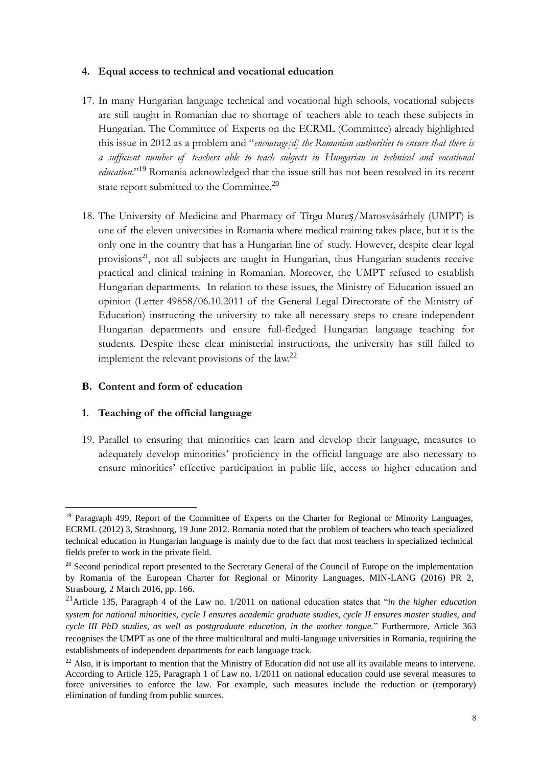#### **4. Equal access to technical and vocational education**

- 17. In many Hungarian language technical and vocational high schools, vocational subjects are still taught in Romanian due to shortage of teachers able to teach these subjects in Hungarian. The Committee of Experts on the ECRML (Committee) already highlighted this issue in 2012 as a problem and "*encourage[d] the Romanian authorities to ensure that there is a sufficient number of teachers able to teach subjects in Hungarian in technical and vocational education*."<sup>19</sup> Romania acknowledged that the issue still has not been resolved in its recent state report submitted to the Committee.<sup>20</sup>
- 18. The University of Medicine and Pharmacy of Tîrgu Mureș/Marosvásárhely (UMPT) is one of the eleven universities in Romania where medical training takes place, but it is the only one in the country that has a Hungarian line of study. However, despite clear legal provisions<sup>21</sup>, not all subjects are taught in Hungarian, thus Hungarian students receive practical and clinical training in Romanian. Moreover, the UMPT refused to establish Hungarian departments. In relation to these issues, the Ministry of Education issued an opinion (Letter 49858/06.10.2011 of the General Legal Directorate of the Ministry of Education) instructing the university to take all necessary steps to create independent Hungarian departments and ensure full-fledged Hungarian language teaching for students. Despite these clear ministerial instructions, the university has still failed to implement the relevant provisions of the law.<sup>22</sup>

#### **B. Content and form of education**

#### **1. Teaching of the official language**

1

19. Parallel to ensuring that minorities can learn and develop their language, measures to adequately develop minorities' proficiency in the official language are also necessary to ensure minorities' effective participation in public life, access to higher education and

<sup>&</sup>lt;sup>19</sup> Paragraph 499, Report of the Committee of Experts on the Charter for Regional or Minority Languages, ECRML (2012) 3, Strasbourg, 19 June 2012. Romania noted that the problem of teachers who teach specialized technical education in Hungarian language is mainly due to the fact that most teachers in specialized technical fields prefer to work in the private field.

<sup>&</sup>lt;sup>20</sup> Second periodical report presented to the Secretary General of the Council of Europe on the implementation by Romania of the European Charter for Regional or Minority Languages, MIN-LANG (2016) PR 2, Strasbourg, 2 March 2016, pp. 166.

<sup>21</sup>Article 135, Paragraph 4 of the Law no. 1/2011 on national education states that "*in the higher education system for national minorities, cycle I ensures academic graduate studies, cycle II ensures master studies, and cycle III PhD studies, as well as postgraduate education, in the mother tongue.*" Furthermore, Article 363 recognises the UMPT as one of the three multicultural and multi-language universities in Romania, requiring the establishments of independent departments for each language track.

<sup>&</sup>lt;sup>22</sup> Also, it is important to mention that the Ministry of Education did not use all its available means to intervene. According to Article 125, Paragraph 1 of Law no. 1/2011 on national education could use several measures to force universities to enforce the law. For example, such measures include the reduction or (temporary) elimination of funding from public sources.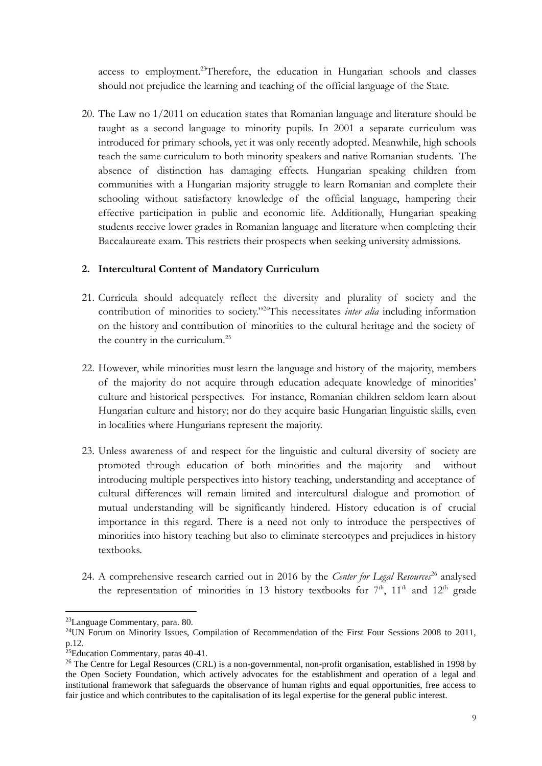access to employment.<sup>23</sup>Therefore, the education in Hungarian schools and classes should not prejudice the learning and teaching of the official language of the State.

20. The Law no 1/2011 on education states that Romanian language and literature should be taught as a second language to minority pupils. In 2001 a separate curriculum was introduced for primary schools, yet it was only recently adopted. Meanwhile, high schools teach the same curriculum to both minority speakers and native Romanian students. The absence of distinction has damaging effects. Hungarian speaking children from communities with a Hungarian majority struggle to learn Romanian and complete their schooling without satisfactory knowledge of the official language, hampering their effective participation in public and economic life. Additionally, Hungarian speaking students receive lower grades in Romanian language and literature when completing their Baccalaureate exam. This restricts their prospects when seeking university admissions.

### **2. Intercultural Content of Mandatory Curriculum**

- 21. Curricula should adequately reflect the diversity and plurality of society and the contribution of minorities to society."<sup>24</sup>This necessitates *inter alia* including information on the history and contribution of minorities to the cultural heritage and the society of the country in the curriculum.<sup>25</sup>
- 22. However, while minorities must learn the language and history of the majority, members of the majority do not acquire through education adequate knowledge of minorities' culture and historical perspectives. For instance, Romanian children seldom learn about Hungarian culture and history; nor do they acquire basic Hungarian linguistic skills, even in localities where Hungarians represent the majority.
- 23. Unless awareness of and respect for the linguistic and cultural diversity of society are promoted through education of both minorities and the majority and without introducing multiple perspectives into history teaching, understanding and acceptance of cultural differences will remain limited and intercultural dialogue and promotion of mutual understanding will be significantly hindered. History education is of crucial importance in this regard. There is a need not only to introduce the perspectives of minorities into history teaching but also to eliminate stereotypes and prejudices in history textbooks.
- 24. A comprehensive research carried out in 2016 by the *Center for Legal Resources*<sup>26</sup> analysed the representation of minorities in 13 history textbooks for  $7<sup>th</sup>$ ,  $11<sup>th</sup>$  and  $12<sup>th</sup>$  grade

<u>.</u>

<sup>23</sup>Language Commentary, para. 80.

<sup>&</sup>lt;sup>24</sup>UN Forum on Minority Issues, Compilation of Recommendation of the First Four Sessions 2008 to 2011, p.12.

 $^{25}$ Education Commentary, paras 40-41.

<sup>&</sup>lt;sup>26</sup> The Centre for Legal Resources (CRL) is a non-governmental, non-profit organisation, established in 1998 by the Open Society Foundation, which actively advocates for the establishment and operation of a legal and institutional framework that safeguards the observance of human rights and equal opportunities, free access to fair justice and which contributes to the capitalisation of its legal expertise for the general public interest.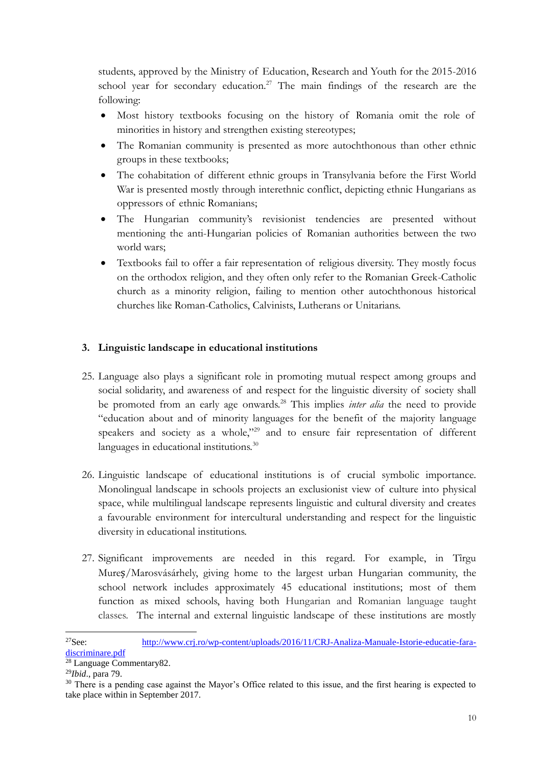students, approved by the Ministry of Education, Research and Youth for the 2015-2016 school year for secondary education.<sup>27</sup> The main findings of the research are the following:

- Most history textbooks focusing on the history of Romania omit the role of minorities in history and strengthen existing stereotypes;
- The Romanian community is presented as more autochthonous than other ethnic groups in these textbooks;
- The cohabitation of different ethnic groups in Transylvania before the First World War is presented mostly through interethnic conflict, depicting ethnic Hungarians as oppressors of ethnic Romanians;
- The Hungarian community's revisionist tendencies are presented without mentioning the anti-Hungarian policies of Romanian authorities between the two world wars;
- Textbooks fail to offer a fair representation of religious diversity. They mostly focus on the orthodox religion, and they often only refer to the Romanian Greek-Catholic church as a minority religion, failing to mention other autochthonous historical churches like Roman-Catholics, Calvinists, Lutherans or Unitarians.

### **3. Linguistic landscape in educational institutions**

- 25. Language also plays a significant role in promoting mutual respect among groups and social solidarity, and awareness of and respect for the linguistic diversity of society shall be promoted from an early age onwards.<sup>28</sup> This implies *inter alia* the need to provide "education about and of minority languages for the benefit of the majority language speakers and society as a whole,"<sup>29</sup> and to ensure fair representation of different languages in educational institutions.<sup>30</sup>
- 26. Linguistic landscape of educational institutions is of crucial symbolic importance. Monolingual landscape in schools projects an exclusionist view of culture into physical space, while multilingual landscape represents linguistic and cultural diversity and creates a favourable environment for intercultural understanding and respect for the linguistic diversity in educational institutions.
- 27. Significant improvements are needed in this regard. For example, in Tîrgu Mureș/Marosvásárhely, giving home to the largest urban Hungarian community, the school network includes approximately 45 educational institutions; most of them function as mixed schools, having both Hungarian and Romanian language taught classes. The internal and external linguistic landscape of these institutions are mostly

<sup>1</sup> <sup>27</sup>See: [http://www.crj.ro/wp-content/uploads/2016/11/CRJ-Analiza-Manuale-Istorie-educatie-fara](http://www.crj.ro/wp-content/uploads/2016/11/CRJ-Analiza-Manuale-Istorie-educatie-fara-discriminare.pdf)[discriminare.pdf](http://www.crj.ro/wp-content/uploads/2016/11/CRJ-Analiza-Manuale-Istorie-educatie-fara-discriminare.pdf)

<sup>28</sup> Language Commentary82.

<sup>29</sup>*Ibid*., para 79.

<sup>&</sup>lt;sup>30</sup> There is a pending case against the Mayor's Office related to this issue, and the first hearing is expected to take place within in September 2017.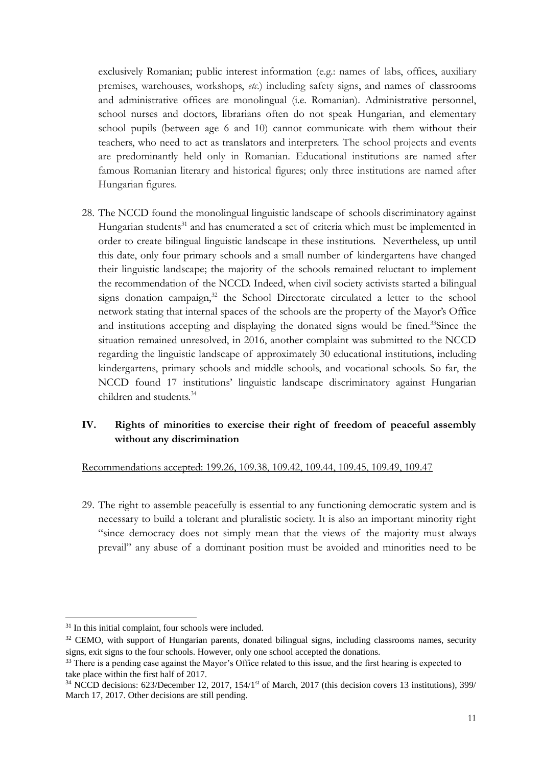exclusively Romanian; public interest information (e.g.: names of labs, offices, auxiliary premises, warehouses, workshops, *etc*.) including safety signs, and names of classrooms and administrative offices are monolingual (i.e. Romanian). Administrative personnel, school nurses and doctors, librarians often do not speak Hungarian, and elementary school pupils (between age 6 and 10) cannot communicate with them without their teachers, who need to act as translators and interpreters. The school projects and events are predominantly held only in Romanian. Educational institutions are named after famous Romanian literary and historical figures; only three institutions are named after Hungarian figures.

28. The NCCD found the monolingual linguistic landscape of schools discriminatory against Hungarian students<sup>31</sup> and has enumerated a set of criteria which must be implemented in order to create bilingual linguistic landscape in these institutions. Nevertheless, up until this date, only four primary schools and a small number of kindergartens have changed their linguistic landscape; the majority of the schools remained reluctant to implement the recommendation of the NCCD. Indeed, when civil society activists started a bilingual signs donation campaign, $32$  the School Directorate circulated a letter to the school network stating that internal spaces of the schools are the property of the Mayor's Office and institutions accepting and displaying the donated signs would be fined.<sup>33</sup>Since the situation remained unresolved, in 2016, another complaint was submitted to the NCCD regarding the linguistic landscape of approximately 30 educational institutions, including kindergartens, primary schools and middle schools, and vocational schools. So far, the NCCD found 17 institutions' linguistic landscape discriminatory against Hungarian children and students. 34

# **IV. Rights of minorities to exercise their right of freedom of peaceful assembly without any discrimination**

Recommendations accepted: 199.26, 109.38, 109.42, 109.44, 109.45, 109.49, 109.47

29. The right to assemble peacefully is essential to any functioning democratic system and is necessary to build a tolerant and pluralistic society. It is also an important minority right "since democracy does not simply mean that the views of the majority must always prevail" any abuse of a dominant position must be avoided and minorities need to be

<sup>&</sup>lt;sup>31</sup> In this initial complaint, four schools were included.

<sup>&</sup>lt;sup>32</sup> CEMO, with support of Hungarian parents, donated bilingual signs, including classrooms names, security signs, exit signs to the four schools. However, only one school accepted the donations.

<sup>&</sup>lt;sup>33</sup> There is a pending case against the Mayor's Office related to this issue, and the first hearing is expected to take place within the first half of 2017.

<sup>&</sup>lt;sup>34</sup> NCCD decisions: 623/December 12, 2017, 154/1<sup>st</sup> of March, 2017 (this decision covers 13 institutions), 399/ March 17, 2017. Other decisions are still pending.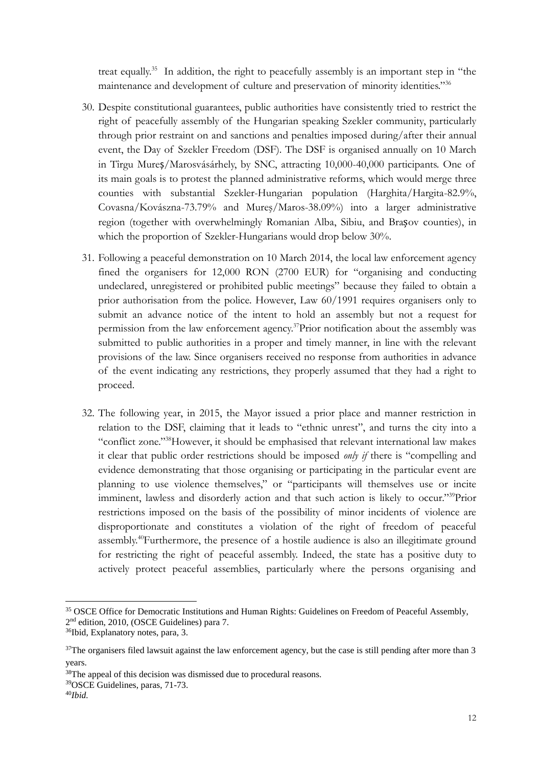treat equally.<sup>35</sup> In addition, the right to peacefully assembly is an important step in "the maintenance and development of culture and preservation of minority identities."36

- 30. Despite constitutional guarantees, public authorities have consistently tried to restrict the right of peacefully assembly of the Hungarian speaking Szekler community, particularly through prior restraint on and sanctions and penalties imposed during/after their annual event, the Day of Szekler Freedom (DSF). The DSF is organised annually on 10 March in Tîrgu Mureș/Marosvásárhely, by SNC, attracting 10,000-40,000 participants. One of its main goals is to protest the planned administrative reforms, which would merge three counties with substantial Szekler-Hungarian population (Harghita/Hargita-82.9%, Covasna/Kovászna-73.79% and Mureş/Maros-38.09%) into a larger administrative region (together with overwhelmingly Romanian Alba, Sibiu, and Brașov counties), in which the proportion of Szekler-Hungarians would drop below 30%.
- 31. Following a peaceful demonstration on 10 March 2014, the local law enforcement agency fined the organisers for 12,000 RON (2700 EUR) for "organising and conducting undeclared, unregistered or prohibited public meetings" because they failed to obtain a prior authorisation from the police. However, Law 60/1991 requires organisers only to submit an advance notice of the intent to hold an assembly but not a request for permission from the law enforcement agency. <sup>37</sup>Prior notification about the assembly was submitted to public authorities in a proper and timely manner, in line with the relevant provisions of the law. Since organisers received no response from authorities in advance of the event indicating any restrictions, they properly assumed that they had a right to proceed.
- 32. The following year, in 2015, the Mayor issued a prior place and manner restriction in relation to the DSF, claiming that it leads to "ethnic unrest", and turns the city into a "conflict zone."<sup>38</sup>However, it should be emphasised that relevant international law makes it clear that public order restrictions should be imposed *only if* there is "compelling and evidence demonstrating that those organising or participating in the particular event are planning to use violence themselves," or "participants will themselves use or incite imminent, lawless and disorderly action and that such action is likely to occur."<sup>39</sup>Prior restrictions imposed on the basis of the possibility of minor incidents of violence are disproportionate and constitutes a violation of the right of freedom of peaceful assembly.<sup>40</sup>Furthermore, the presence of a hostile audience is also an illegitimate ground for restricting the right of peaceful assembly. Indeed, the state has a positive duty to actively protect peaceful assemblies, particularly where the persons organising and

<sup>&</sup>lt;sup>35</sup> OSCE Office for Democratic Institutions and Human Rights: Guidelines on Freedom of Peaceful Assembly, 2 nd edition, 2010, (OSCE Guidelines) para 7.

<sup>36</sup>Ibid, Explanatory notes, para, 3.

 $37$ The organisers filed lawsuit against the law enforcement agency, but the case is still pending after more than 3 years.

<sup>&</sup>lt;sup>38</sup>The appeal of this decision was dismissed due to procedural reasons.

<sup>39</sup>OSCE Guidelines, paras, 71-73.

<sup>40</sup>*Ibid.*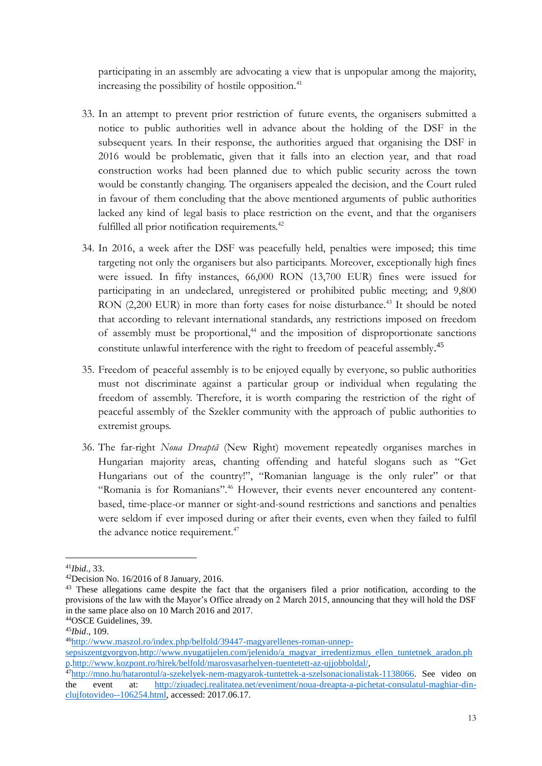participating in an assembly are advocating a view that is unpopular among the majority, increasing the possibility of hostile opposition.<sup>41</sup>

- 33. In an attempt to prevent prior restriction of future events, the organisers submitted a notice to public authorities well in advance about the holding of the DSF in the subsequent years. In their response, the authorities argued that organising the DSF in 2016 would be problematic, given that it falls into an election year, and that road construction works had been planned due to which public security across the town would be constantly changing. The organisers appealed the decision, and the Court ruled in favour of them concluding that the above mentioned arguments of public authorities lacked any kind of legal basis to place restriction on the event, and that the organisers fulfilled all prior notification requirements.<sup>42</sup>
- 34. In 2016, a week after the DSF was peacefully held, penalties were imposed; this time targeting not only the organisers but also participants. Moreover, exceptionally high fines were issued. In fifty instances, 66,000 RON (13,700 EUR) fines were issued for participating in an undeclared, unregistered or prohibited public meeting; and 9,800 RON (2,200 EUR) in more than forty cases for noise disturbance.<sup>43</sup> It should be noted that according to relevant international standards, any restrictions imposed on freedom of assembly must be proportional, <sup>44</sup> and the imposition of disproportionate sanctions constitute unlawful interference with the right to freedom of peaceful assembly.<sup>45</sup>
- 35. Freedom of peaceful assembly is to be enjoyed equally by everyone, so public authorities must not discriminate against a particular group or individual when regulating the freedom of assembly. Therefore, it is worth comparing the restriction of the right of peaceful assembly of the Szekler community with the approach of public authorities to extremist groups.
- 36. The far-right *Noua Dreaptă* (New Right) movement repeatedly organises marches in Hungarian majority areas, chanting offending and hateful slogans such as "Get Hungarians out of the country!", "Romanian language is the only ruler" or that "Romania is for Romanians".<sup>46</sup> However, their events never encountered any contentbased, time-place-or manner or sight-and-sound restrictions and sanctions and penalties were seldom if ever imposed during or after their events, even when they failed to fulfil the advance notice requirement.<sup>47</sup>

<sup>41</sup>*Ibid*., 33.

 $42$ Decision No. 16/2016 of 8 January, 2016.

<sup>&</sup>lt;sup>43</sup> These allegations came despite the fact that the organisers filed a prior notification, according to the provisions of the law with the Mayor's Office already on 2 March 2015, announcing that they will hold the DSF in the same place also on 10 March 2016 and 2017.

<sup>44</sup>OSCE Guidelines, 39.

<sup>45</sup>*Ibid*., 109.

<sup>46</sup>[http://www.maszol.ro/index.php/belfold/39447-magyarellenes-roman-unnep-](http://www.maszol.ro/index.php/belfold/39447-magyarellenes-roman-unnep-sepsiszentgyorgyon)

[sepsiszentgyorgyon.](http://www.maszol.ro/index.php/belfold/39447-magyarellenes-roman-unnep-sepsiszentgyorgyon)[http://www.nyugatijelen.com/jelenido/a\\_magyar\\_irredentizmus\\_ellen\\_tuntetnek\\_aradon.ph](http://www.nyugatijelen.com/jelenido/a_magyar_irredentizmus_ellen_tuntetnek_aradon.php) [p.http://www.kozpont.ro/hirek/belfold/marosvasarhelyen](http://www.nyugatijelen.com/jelenido/a_magyar_irredentizmus_ellen_tuntetnek_aradon.php)[-tuentetett-az-ujjobboldal/,](http://www.kozpont.ro/hirek/belfold/marosvasarhelyen-tuentetett-az-uj-jobboldal/)

<sup>47</sup>[http://mno.hu/hatarontul/a-szekelyek-nem-magyarok-tuntettek-a-szelsonacionalistak-1138066.](http://mno.hu/hatarontul/a-szekelyek-nem-magyarok-tuntettek-a-szelsonacionalistak-1138066) See video on the event at: [http://ziuadecj.realitatea.net/eveniment/noua-dreapta-a-pichetat-consulatul-maghiar-din](http://ziuadecj.realitatea.net/eveniment/noua-dreapta-a-pichetat-consulatul-maghiar-din-cluj-fotovideo--106254.html)[clujfotovideo--106254.html,](http://ziuadecj.realitatea.net/eveniment/noua-dreapta-a-pichetat-consulatul-maghiar-din-cluj-fotovideo--106254.html) accessed: 2017.06.17.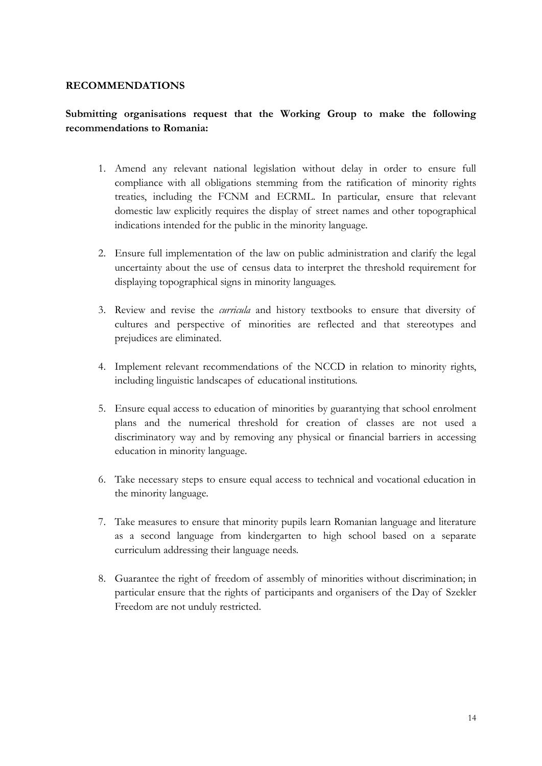#### **RECOMMENDATIONS**

## **Submitting organisations request that the Working Group to make the following recommendations to Romania:**

- 1. Amend any relevant national legislation without delay in order to ensure full compliance with all obligations stemming from the ratification of minority rights treaties, including the FCNM and ECRML. In particular, ensure that relevant domestic law explicitly requires the display of street names and other topographical indications intended for the public in the minority language.
- 2. Ensure full implementation of the law on public administration and clarify the legal uncertainty about the use of census data to interpret the threshold requirement for displaying topographical signs in minority languages.
- 3. Review and revise the *curricula* and history textbooks to ensure that diversity of cultures and perspective of minorities are reflected and that stereotypes and prejudices are eliminated.
- 4. Implement relevant recommendations of the NCCD in relation to minority rights, including linguistic landscapes of educational institutions.
- 5. Ensure equal access to education of minorities by guarantying that school enrolment plans and the numerical threshold for creation of classes are not used a discriminatory way and by removing any physical or financial barriers in accessing education in minority language.
- 6. Take necessary steps to ensure equal access to technical and vocational education in the minority language.
- 7. Take measures to ensure that minority pupils learn Romanian language and literature as a second language from kindergarten to high school based on a separate curriculum addressing their language needs.
- 8. Guarantee the right of freedom of assembly of minorities without discrimination; in particular ensure that the rights of participants and organisers of the Day of Szekler Freedom are not unduly restricted.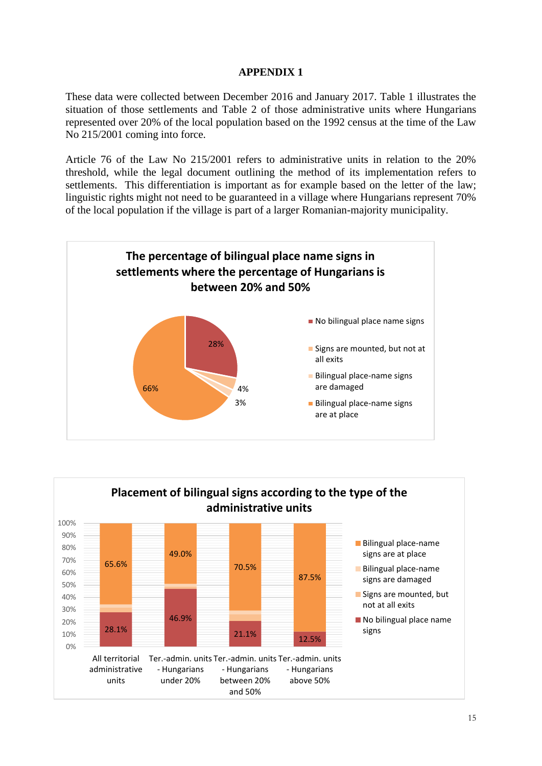### **APPENDIX 1**

These data were collected between December 2016 and January 2017. Table 1 illustrates the situation of those settlements and Table 2 of those administrative units where Hungarians represented over 20% of the local population based on the 1992 census at the time of the Law No 215/2001 coming into force.

Article 76 of the Law No 215/2001 refers to administrative units in relation to the 20% threshold, while the legal document outlining the method of its implementation refers to settlements. This differentiation is important as for example based on the letter of the law; linguistic rights might not need to be guaranteed in a village where Hungarians represent 70% of the local population if the village is part of a larger Romanian-majority municipality.